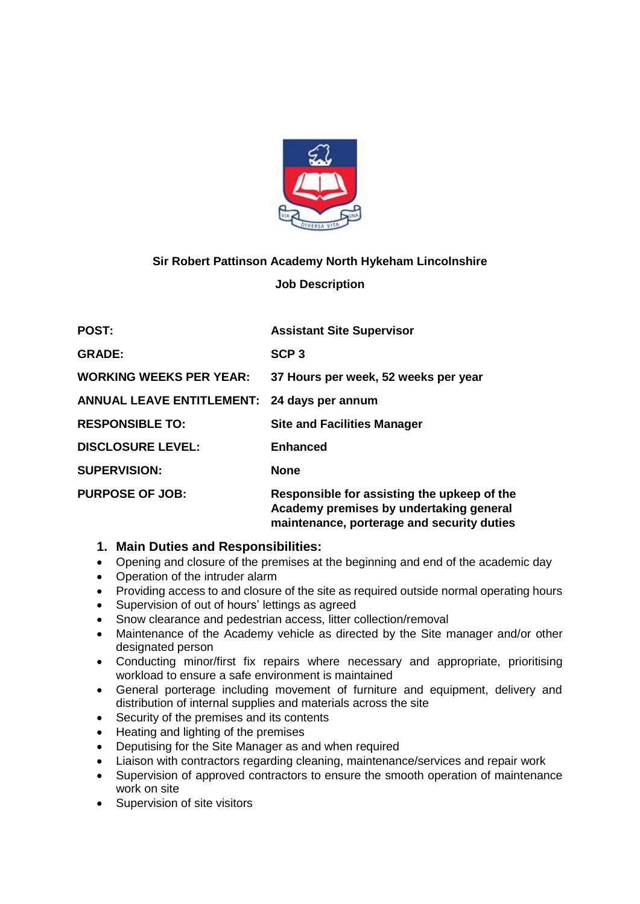

# **Sir Robert Pattinson Academy North Hykeham Lincolnshire**

### **Job Description**

| <b>POST:</b>                                       | <b>Assistant Site Supervisor</b>                                                                                                     |  |
|----------------------------------------------------|--------------------------------------------------------------------------------------------------------------------------------------|--|
| <b>GRADE:</b>                                      | SCP <sub>3</sub>                                                                                                                     |  |
| <b>WORKING WEEKS PER YEAR:</b>                     | 37 Hours per week, 52 weeks per year                                                                                                 |  |
| <b>ANNUAL LEAVE ENTITLEMENT: 24 days per annum</b> |                                                                                                                                      |  |
| <b>RESPONSIBLE TO:</b>                             | <b>Site and Facilities Manager</b>                                                                                                   |  |
| <b>DISCLOSURE LEVEL:</b>                           | <b>Enhanced</b>                                                                                                                      |  |
| <b>SUPERVISION:</b>                                | <b>None</b>                                                                                                                          |  |
| <b>PURPOSE OF JOB:</b>                             | Responsible for assisting the upkeep of the<br>Academy premises by undertaking general<br>maintenance, porterage and security duties |  |

### **1. Main Duties and Responsibilities:**

- Opening and closure of the premises at the beginning and end of the academic day
- Operation of the intruder alarm
- Providing access to and closure of the site as required outside normal operating hours
- Supervision of out of hours' lettings as agreed
- Snow clearance and pedestrian access, litter collection/removal
- Maintenance of the Academy vehicle as directed by the Site manager and/or other designated person
- Conducting minor/first fix repairs where necessary and appropriate, prioritising workload to ensure a safe environment is maintained
- General porterage including movement of furniture and equipment, delivery and distribution of internal supplies and materials across the site
- Security of the premises and its contents
- Heating and lighting of the premises
- Deputising for the Site Manager as and when required
- Liaison with contractors regarding cleaning, maintenance/services and repair work
- Supervision of approved contractors to ensure the smooth operation of maintenance work on site
- Supervision of site visitors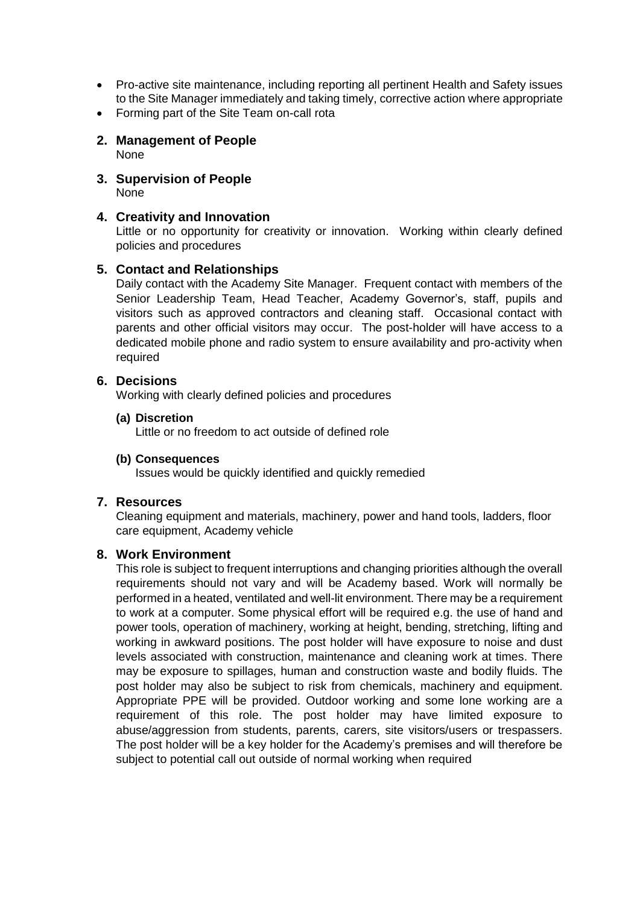- Pro-active site maintenance, including reporting all pertinent Health and Safety issues to the Site Manager immediately and taking timely, corrective action where appropriate
- Forming part of the Site Team on-call rota
- **2. Management of People** None
- **3. Supervision of People** None

## **4. Creativity and Innovation**

Little or no opportunity for creativity or innovation. Working within clearly defined policies and procedures

## **5. Contact and Relationships**

Daily contact with the Academy Site Manager. Frequent contact with members of the Senior Leadership Team, Head Teacher, Academy Governor's, staff, pupils and visitors such as approved contractors and cleaning staff. Occasional contact with parents and other official visitors may occur. The post-holder will have access to a dedicated mobile phone and radio system to ensure availability and pro-activity when required

### **6. Decisions**

Working with clearly defined policies and procedures

### **(a) Discretion**

Little or no freedom to act outside of defined role

#### **(b) Consequences**

Issues would be quickly identified and quickly remedied

### **7. Resources**

Cleaning equipment and materials, machinery, power and hand tools, ladders, floor care equipment, Academy vehicle

### **8. Work Environment**

This role is subject to frequent interruptions and changing priorities although the overall requirements should not vary and will be Academy based. Work will normally be performed in a heated, ventilated and well-lit environment. There may be a requirement to work at a computer. Some physical effort will be required e.g. the use of hand and power tools, operation of machinery, working at height, bending, stretching, lifting and working in awkward positions. The post holder will have exposure to noise and dust levels associated with construction, maintenance and cleaning work at times. There may be exposure to spillages, human and construction waste and bodily fluids. The post holder may also be subject to risk from chemicals, machinery and equipment. Appropriate PPE will be provided. Outdoor working and some lone working are a requirement of this role. The post holder may have limited exposure to abuse/aggression from students, parents, carers, site visitors/users or trespassers. The post holder will be a key holder for the Academy's premises and will therefore be subject to potential call out outside of normal working when required